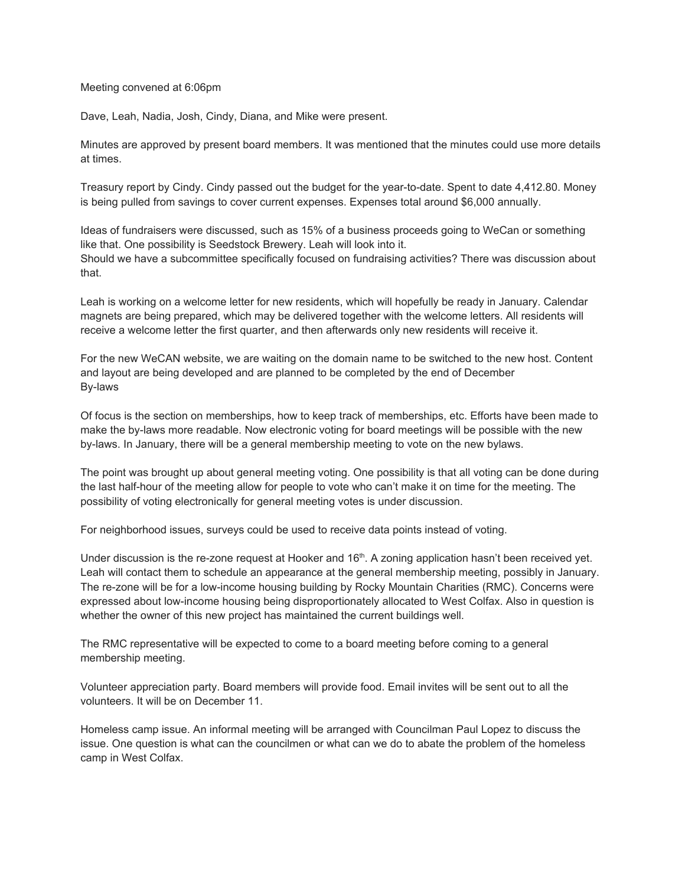## Meeting convened at 6:06pm

Dave, Leah, Nadia, Josh, Cindy, Diana, and Mike were present.

Minutes are approved by present board members. It was mentioned that the minutes could use more details at times.

Treasury report by Cindy. Cindy passed out the budget for the year-to-date. Spent to date 4,412.80. Money is being pulled from savings to cover current expenses. Expenses total around \$6,000 annually.

Ideas of fundraisers were discussed, such as 15% of a business proceeds going to WeCan or something like that. One possibility is Seedstock Brewery. Leah will look into it. Should we have a subcommittee specifically focused on fundraising activities? There was discussion about that.

Leah is working on a welcome letter for new residents, which will hopefully be ready in January. Calendar magnets are being prepared, which may be delivered together with the welcome letters. All residents will receive a welcome letter the first quarter, and then afterwards only new residents will receive it.

For the new WeCAN website, we are waiting on the domain name to be switched to the new host. Content and layout are being developed and are planned to be completed by the end of December By-laws

Of focus is the section on memberships, how to keep track of memberships, etc. Efforts have been made to make the by-laws more readable. Now electronic voting for board meetings will be possible with the new by-laws. In January, there will be a general membership meeting to vote on the new bylaws.

The point was brought up about general meeting voting. One possibility is that all voting can be done during the last half-hour of the meeting allow for people to vote who can't make it on time for the meeting. The possibility of voting electronically for general meeting votes is under discussion.

For neighborhood issues, surveys could be used to receive data points instead of voting.

Under discussion is the re-zone request at Hooker and 16<sup>th</sup>. A zoning application hasn't been received yet. Leah will contact them to schedule an appearance at the general membership meeting, possibly in January. The re-zone will be for a low-income housing building by Rocky Mountain Charities (RMC). Concerns were expressed about low-income housing being disproportionately allocated to West Colfax. Also in question is whether the owner of this new project has maintained the current buildings well.

The RMC representative will be expected to come to a board meeting before coming to a general membership meeting.

Volunteer appreciation party. Board members will provide food. Email invites will be sent out to all the volunteers. It will be on December 11.

Homeless camp issue. An informal meeting will be arranged with Councilman Paul Lopez to discuss the issue. One question is what can the councilmen or what can we do to abate the problem of the homeless camp in West Colfax.